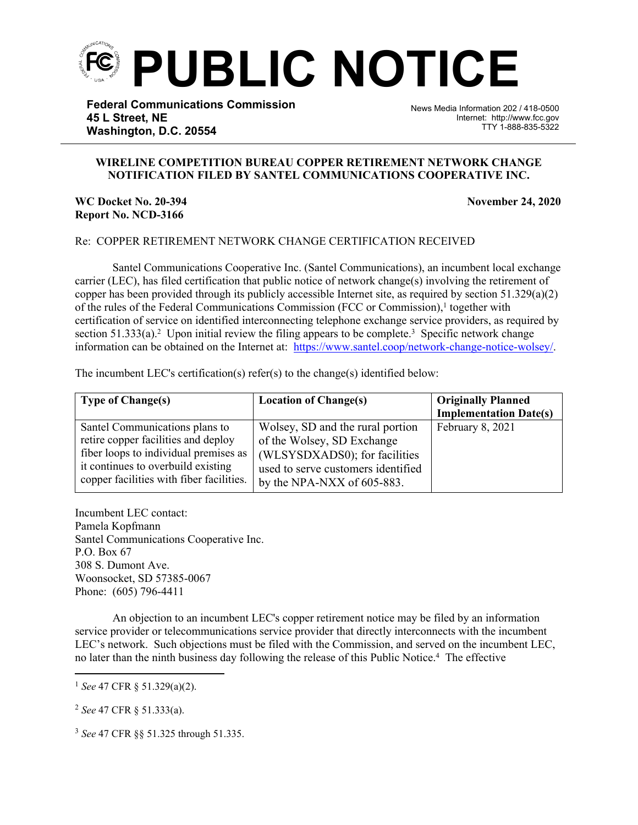

**Federal Communications Commission 45 L Street, NE Washington, D.C. 20554**

News Media Information 202 / 418-0500 Internet: http://www.fcc.gov TTY 1-888-835-5322

## **WIRELINE COMPETITION BUREAU COPPER RETIREMENT NETWORK CHANGE NOTIFICATION FILED BY SANTEL COMMUNICATIONS COOPERATIVE INC.**

֡֡֡֡

## **WC Docket No. 20-394 November 24, 2020 Report No. NCD-3166**

## Re: COPPER RETIREMENT NETWORK CHANGE CERTIFICATION RECEIVED

Santel Communications Cooperative Inc. (Santel Communications), an incumbent local exchange carrier (LEC), has filed certification that public notice of network change(s) involving the retirement of copper has been provided through its publicly accessible Internet site, as required by section  $51.329(a)(2)$ of the rules of the Federal Communications Commission (FCC or Commission),<sup>1</sup> together with certification of service on identified interconnecting telephone exchange service providers, as required by section  $51.333(a)$ .<sup>2</sup> Upon initial review the filing appears to be complete.<sup>3</sup> Specific network change information can be obtained on the Internet at: https://www.santel.coop/network-change-notice-wolsey/.

The incumbent LEC's certification(s) refer(s) to the change(s) identified below:

| <b>Type of Change(s)</b>                 | <b>Location of Change(s)</b>       | <b>Originally Planned</b>     |
|------------------------------------------|------------------------------------|-------------------------------|
|                                          |                                    | <b>Implementation Date(s)</b> |
| Santel Communications plans to           | Wolsey, SD and the rural portion   | February 8, 2021              |
| retire copper facilities and deploy      | of the Wolsey, SD Exchange         |                               |
| fiber loops to individual premises as    | (WLSYSDXADS0); for facilities      |                               |
| it continues to overbuild existing       | used to serve customers identified |                               |
| copper facilities with fiber facilities. | by the NPA-NXX of 605-883.         |                               |

Incumbent LEC contact: Pamela Kopfmann Santel Communications Cooperative Inc. P.O. Box 67 308 S. Dumont Ave. Woonsocket, SD 57385-0067 Phone: (605) 796-4411

An objection to an incumbent LEC's copper retirement notice may be filed by an information service provider or telecommunications service provider that directly interconnects with the incumbent LEC's network. Such objections must be filed with the Commission, and served on the incumbent LEC, no later than the ninth business day following the release of this Public Notice.<sup>4</sup> The effective

<sup>1</sup> *See* 47 CFR § 51.329(a)(2).

<sup>2</sup> *See* 47 CFR § 51.333(a).

<sup>3</sup> *See* 47 CFR §§ 51.325 through 51.335.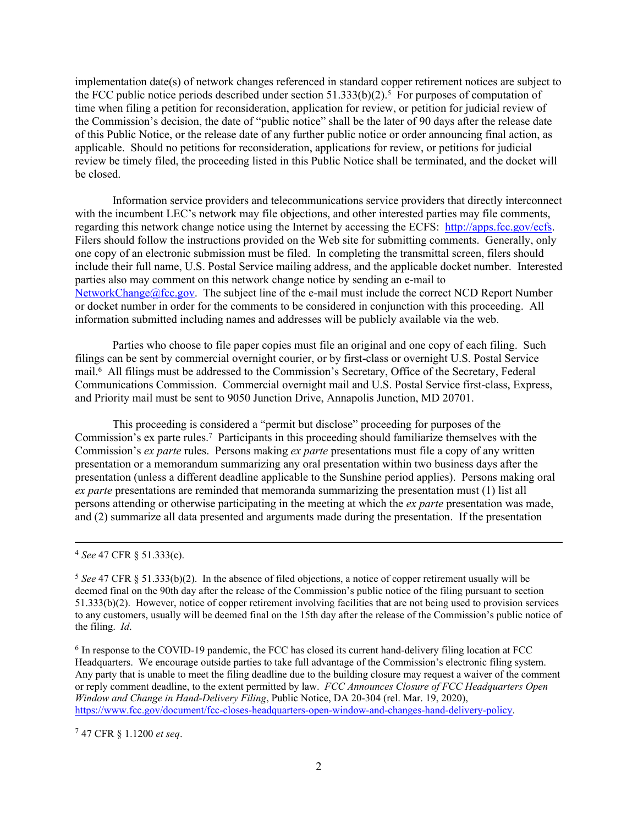implementation date(s) of network changes referenced in standard copper retirement notices are subject to the FCC public notice periods described under section  $51.333(b)(2)$ .<sup>5</sup> For purposes of computation of time when filing a petition for reconsideration, application for review, or petition for judicial review of the Commission's decision, the date of "public notice" shall be the later of 90 days after the release date of this Public Notice, or the release date of any further public notice or order announcing final action, as applicable. Should no petitions for reconsideration, applications for review, or petitions for judicial review be timely filed, the proceeding listed in this Public Notice shall be terminated, and the docket will be closed.

Information service providers and telecommunications service providers that directly interconnect with the incumbent LEC's network may file objections, and other interested parties may file comments, regarding this network change notice using the Internet by accessing the ECFS: [http://apps.fcc.gov/ecfs.](http://apps.fcc.gov/ecfs) Filers should follow the instructions provided on the Web site for submitting comments. Generally, only one copy of an electronic submission must be filed. In completing the transmittal screen, filers should include their full name, U.S. Postal Service mailing address, and the applicable docket number. Interested parties also may comment on this network change notice by sending an e-mail to [NetworkChange@fcc.gov.](mailto:NetworkChange@fcc.gov) The subject line of the e-mail must include the correct NCD Report Number or docket number in order for the comments to be considered in conjunction with this proceeding. All information submitted including names and addresses will be publicly available via the web.

Parties who choose to file paper copies must file an original and one copy of each filing. Such filings can be sent by commercial overnight courier, or by first-class or overnight U.S. Postal Service mail.<sup>6</sup> All filings must be addressed to the Commission's Secretary, Office of the Secretary, Federal Communications Commission. Commercial overnight mail and U.S. Postal Service first-class, Express, and Priority mail must be sent to 9050 Junction Drive, Annapolis Junction, MD 20701.

This proceeding is considered a "permit but disclose" proceeding for purposes of the Commission's ex parte rules.<sup>7</sup> Participants in this proceeding should familiarize themselves with the Commission's *ex parte* rules. Persons making *ex parte* presentations must file a copy of any written presentation or a memorandum summarizing any oral presentation within two business days after the presentation (unless a different deadline applicable to the Sunshine period applies). Persons making oral *ex parte* presentations are reminded that memoranda summarizing the presentation must (1) list all persons attending or otherwise participating in the meeting at which the *ex parte* presentation was made, and (2) summarize all data presented and arguments made during the presentation. If the presentation

<sup>7</sup> 47 CFR § 1.1200 *et seq*.

<sup>4</sup> *See* 47 CFR § 51.333(c).

<sup>&</sup>lt;sup>5</sup> See 47 CFR § 51.333(b)(2). In the absence of filed objections, a notice of copper retirement usually will be deemed final on the 90th day after the release of the Commission's public notice of the filing pursuant to section 51.333(b)(2). However, notice of copper retirement involving facilities that are not being used to provision services to any customers, usually will be deemed final on the 15th day after the release of the Commission's public notice of the filing. *Id*.

<sup>&</sup>lt;sup>6</sup> In response to the COVID-19 pandemic, the FCC has closed its current hand-delivery filing location at FCC Headquarters. We encourage outside parties to take full advantage of the Commission's electronic filing system. Any party that is unable to meet the filing deadline due to the building closure may request a waiver of the comment or reply comment deadline, to the extent permitted by law. *FCC Announces Closure of FCC Headquarters Open Window and Change in Hand-Delivery Filing*, Public Notice, DA 20-304 (rel. Mar. 19, 2020), [https://www.fcc.gov/document/fcc-closes-headquarters-open-window-and-changes-hand-delivery-policy.](https://www.fcc.gov/document/fcc-closes-headquarters-open-window-and-changes-hand-delivery-policy)